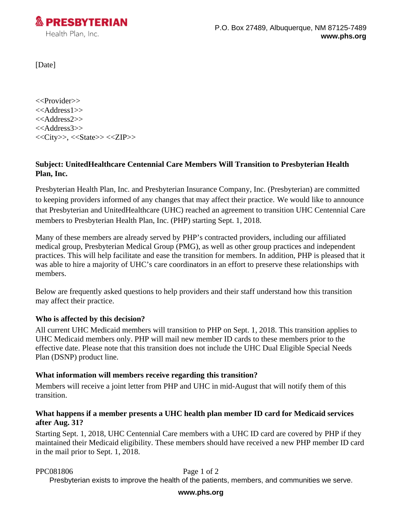

[Date]

<<Provider>> <<Address1>> <<Address2>> <<Address3>>  $<>, <> <>$ 

# **Subject: UnitedHealthcare Centennial Care Members Will Transition to Presbyterian Health Plan, Inc.**

Presbyterian Health Plan, Inc. and Presbyterian Insurance Company, Inc. (Presbyterian) are committed to keeping providers informed of any changes that may affect their practice. We would like to announce that Presbyterian and UnitedHealthcare (UHC) reached an agreement to transition UHC Centennial Care members to Presbyterian Health Plan, Inc. (PHP) starting Sept. 1, 2018.

Many of these members are already served by PHP's contracted providers, including our affiliated medical group, Presbyterian Medical Group (PMG), as well as other group practices and independent practices. This will help facilitate and ease the transition for members. In addition, PHP is pleased that it was able to hire a majority of UHC's care coordinators in an effort to preserve these relationships with members.

Below are frequently asked questions to help providers and their staff understand how this transition may affect their practice.

## **Who is affected by this decision?**

All current UHC Medicaid members will transition to PHP on Sept. 1, 2018. This transition applies to UHC Medicaid members only. PHP will mail new member ID cards to these members prior to the effective date. Please note that this transition does not include the UHC Dual Eligible Special Needs Plan (DSNP) product line.

## **What information will members receive regarding this transition?**

Members will receive a joint letter from PHP and UHC in mid-August that will notify them of this transition.

## **What happens if a member presents a UHC health plan member ID card for Medicaid services after Aug. 31?**

Starting Sept. 1, 2018, UHC Centennial Care members with a UHC ID card are covered by PHP if they maintained their Medicaid eligibility. These members should have received a new PHP member ID card in the mail prior to Sept. 1, 2018.

## PPC081806 Page 1 of 2

Presbyterian exists to improve the health of the patients, members, and communities we serve.

### **www.phs.org**